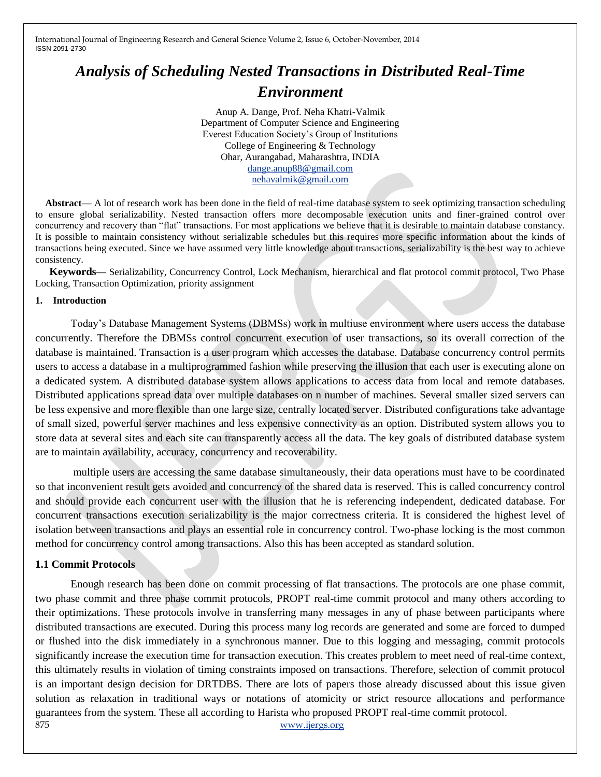# *Analysis of Scheduling Nested Transactions in Distributed Real-Time Environment*

Anup A. Dange, Prof. Neha Khatri-Valmik Department of Computer Science and Engineering Everest Education Society"s Group of Institutions College of Engineering & Technology Ohar, Aurangabad, Maharashtra, INDIA [dange.anup88@gmail.com](mailto:dange.anup88@gmail.com) [nehavalmik@gmail.com](mailto:nehavalmik@gmail.com)

Abstract—— A lot of research work has been done in the field of real-time database system to seek optimizing transaction scheduling to ensure global serializability. Nested transaction offers more decomposable execution units and finer-grained control over concurrency and recovery than "flat" transactions. For most applications we believe that it is desirable to maintain database constancy. It is possible to maintain consistency without serializable schedules but this requires more specific information about the kinds of transactions being executed. Since we have assumed very little knowledge about transactions, serializability is the best way to achieve consistency.

**Keywords—** Serializability, Concurrency Control, Lock Mechanism, hierarchical and flat protocol commit protocol, Two Phase Locking, Transaction Optimization, priority assignment

#### **1. Introduction**

Today"s Database Management Systems (DBMSs) work in multiuse environment where users access the database concurrently. Therefore the DBMSs control concurrent execution of user transactions, so its overall correction of the database is maintained. Transaction is a user program which accesses the database. Database concurrency control permits users to access a database in a multiprogrammed fashion while preserving the illusion that each user is executing alone on a dedicated system. A distributed database system allows applications to access data from local and remote databases. Distributed applications spread data over multiple databases on n number of machines. Several smaller sized servers can be less expensive and more flexible than one large size, centrally located server. Distributed configurations take advantage of small sized, powerful server machines and less expensive connectivity as an option. Distributed system allows you to store data at several sites and each site can transparently access all the data. The key goals of distributed database system are to maintain availability, accuracy, concurrency and recoverability.

multiple users are accessing the same database simultaneously, their data operations must have to be coordinated so that inconvenient result gets avoided and concurrency of the shared data is reserved. This is called concurrency control and should provide each concurrent user with the illusion that he is referencing independent, dedicated database. For concurrent transactions execution serializability is the major correctness criteria. It is considered the highest level of isolation between transactions and plays an essential role in concurrency control. Two-phase locking is the most common method for concurrency control among transactions. Also this has been accepted as standard solution.

### **1.1 Commit Protocols**

875 www.ijergs.org Enough research has been done on commit processing of flat transactions. The protocols are one phase commit, two phase commit and three phase commit protocols, PROPT real-time commit protocol and many others according to their optimizations. These protocols involve in transferring many messages in any of phase between participants where distributed transactions are executed. During this process many log records are generated and some are forced to dumped or flushed into the disk immediately in a synchronous manner. Due to this logging and messaging, commit protocols significantly increase the execution time for transaction execution. This creates problem to meet need of real-time context, this ultimately results in violation of timing constraints imposed on transactions. Therefore, selection of commit protocol is an important design decision for DRTDBS. There are lots of papers those already discussed about this issue given solution as relaxation in traditional ways or notations of atomicity or strict resource allocations and performance guarantees from the system. These all according to Harista who proposed PROPT real-time commit protocol.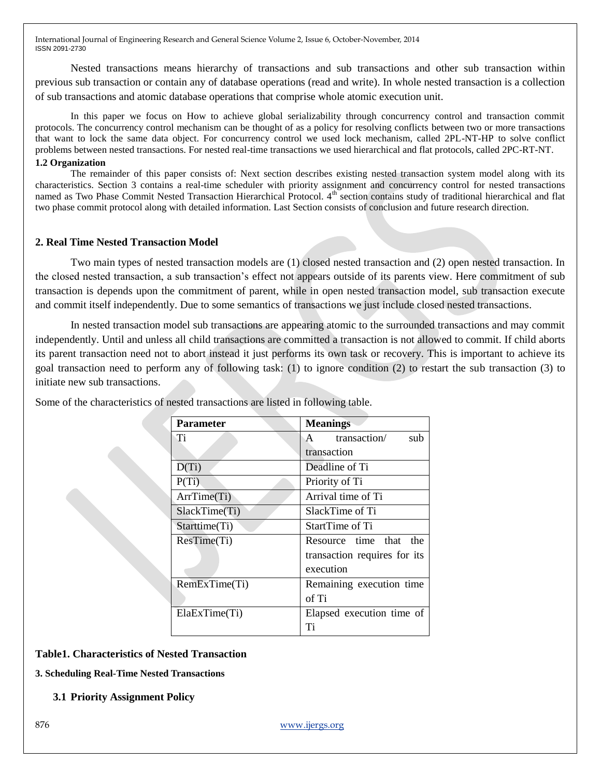Nested transactions means hierarchy of transactions and sub transactions and other sub transaction within previous sub transaction or contain any of database operations (read and write). In whole nested transaction is a collection of sub transactions and atomic database operations that comprise whole atomic execution unit.

In this paper we focus on How to achieve global serializability through concurrency control and transaction commit protocols. The concurrency control mechanism can be thought of as a policy for resolving conflicts between two or more transactions that want to lock the same data object. For concurrency control we used lock mechanism, called 2PL-NT-HP to solve conflict problems between nested transactions. For nested real-time transactions we used hierarchical and flat protocols, called 2PC-RT-NT. **1.2 Organization**

The remainder of this paper consists of: Next section describes existing nested transaction system model along with its characteristics. Section 3 contains a real-time scheduler with priority assignment and concurrency control for nested transactions named as Two Phase Commit Nested Transaction Hierarchical Protocol. 4<sup>th</sup> section contains study of traditional hierarchical and flat two phase commit protocol along with detailed information. Last Section consists of conclusion and future research direction.

## **2. Real Time Nested Transaction Model**

Two main types of nested transaction models are (1) closed nested transaction and (2) open nested transaction. In the closed nested transaction, a sub transaction"s effect not appears outside of its parents view. Here commitment of sub transaction is depends upon the commitment of parent, while in open nested transaction model, sub transaction execute and commit itself independently. Due to some semantics of transactions we just include closed nested transactions.

In nested transaction model sub transactions are appearing atomic to the surrounded transactions and may commit independently. Until and unless all child transactions are committed a transaction is not allowed to commit. If child aborts its parent transaction need not to abort instead it just performs its own task or recovery. This is important to achieve its goal transaction need to perform any of following task: (1) to ignore condition (2) to restart the sub transaction (3) to initiate new sub transactions.

| <b>Parameter</b> | <b>Meanings</b>                     |
|------------------|-------------------------------------|
| Ti               | transaction/<br>sub<br>$\mathsf{A}$ |
|                  | transaction                         |
| $D(T_i)$         | Deadline of Ti                      |
| P(Ti)            | Priority of Ti                      |
| ArrTime(Ti)      | Arrival time of Ti                  |
| SlackTime(Ti)    | SlackTime of Ti                     |
| Starttime(Ti)    | StartTime of Ti                     |
| ResTime(Ti)      | Resource time that<br>the           |
|                  | transaction requires for its        |
|                  | execution                           |
| RemExTime(Ti)    | Remaining execution time            |
|                  | of Ti                               |
| ElaExTime(Ti)    | Elapsed execution time of           |
|                  | Ti                                  |

Some of the characteristics of nested transactions are listed in following table.

## **Table1. Characteristics of Nested Transaction**

**3. Scheduling Real-Time Nested Transactions**

**3.1 Priority Assignment Policy**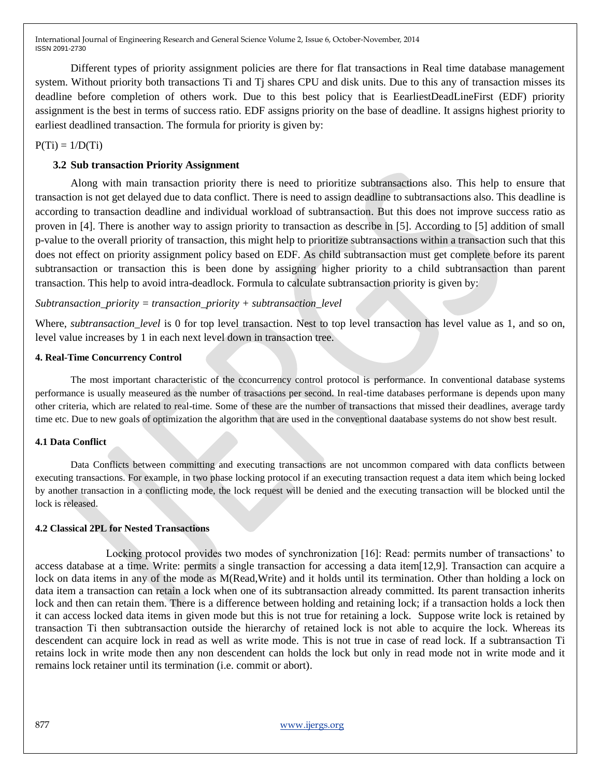Different types of priority assignment policies are there for flat transactions in Real time database management system. Without priority both transactions Ti and Tj shares CPU and disk units. Due to this any of transaction misses its deadline before completion of others work. Due to this best policy that is EearliestDeadLineFirst (EDF) priority assignment is the best in terms of success ratio. EDF assigns priority on the base of deadline. It assigns highest priority to earliest deadlined transaction. The formula for priority is given by:

 $P(Ti) = 1/D(Ti)$ 

## **3.2 Sub transaction Priority Assignment**

Along with main transaction priority there is need to prioritize subtransactions also. This help to ensure that transaction is not get delayed due to data conflict. There is need to assign deadline to subtransactions also. This deadline is according to transaction deadline and individual workload of subtransaction. But this does not improve success ratio as proven in [4]. There is another way to assign priority to transaction as describe in [5]. According to [5] addition of small p-value to the overall priority of transaction, this might help to prioritize subtransactions within a transaction such that this does not effect on priority assignment policy based on EDF. As child subtransaction must get complete before its parent subtransaction or transaction this is been done by assigning higher priority to a child subtransaction than parent transaction. This help to avoid intra-deadlock. Formula to calculate subtransaction priority is given by:

### *Subtransaction\_priority = transaction\_priority + subtransaction\_level*

Where, *subtransaction level* is 0 for top level transaction. Nest to top level transaction has level value as 1, and so on, level value increases by 1 in each next level down in transaction tree.

#### **4. Real-Time Concurrency Control**

The most important characteristic of the cconcurrency control protocol is performance. In conventional database systems performance is usually measeured as the number of trasactions per second. In real-time databases performane is depends upon many other criteria, which are related to real-time. Some of these are the number of transactions that missed their deadlines, average tardy time etc. Due to new goals of optimization the algorithm that are used in the conventional daatabase systems do not show best result.

### **4.1 Data Conflict**

Data Conflicts between committing and executing transactions are not uncommon compared with data conflicts between executing transactions. For example, in two phase locking protocol if an executing transaction request a data item which being locked by another transaction in a conflicting mode, the lock request will be denied and the executing transaction will be blocked until the lock is released.

### **4.2 Classical 2PL for Nested Transactions**

Locking protocol provides two modes of synchronization [16]: Read: permits number of transactions" to access database at a time. Write: permits a single transaction for accessing a data item[12,9]. Transaction can acquire a lock on data items in any of the mode as M(Read,Write) and it holds until its termination. Other than holding a lock on data item a transaction can retain a lock when one of its subtransaction already committed. Its parent transaction inherits lock and then can retain them. There is a difference between holding and retaining lock; if a transaction holds a lock then it can access locked data items in given mode but this is not true for retaining a lock. Suppose write lock is retained by transaction Ti then subtransaction outside the hierarchy of retained lock is not able to acquire the lock. Whereas its descendent can acquire lock in read as well as write mode. This is not true in case of read lock. If a subtransaction Ti retains lock in write mode then any non descendent can holds the lock but only in read mode not in write mode and it remains lock retainer until its termination (i.e. commit or abort).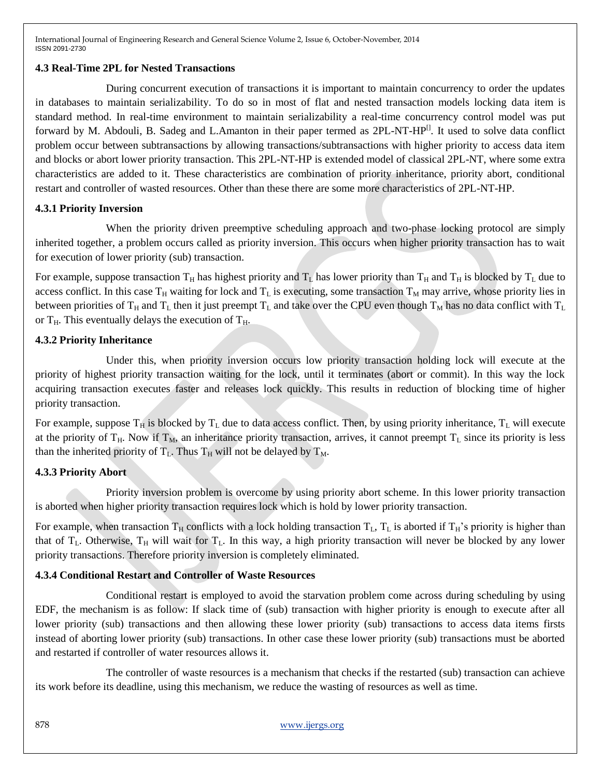# **4.3 Real-Time 2PL for Nested Transactions**

During concurrent execution of transactions it is important to maintain concurrency to order the updates in databases to maintain serializability. To do so in most of flat and nested transaction models locking data item is standard method. In real-time environment to maintain serializability a real-time concurrency control model was put forward by M. Abdouli, B. Sadeg and L.Amanton in their paper termed as 2PL-NT-HP<sup>[]</sup>. It used to solve data conflict problem occur between subtransactions by allowing transactions/subtransactions with higher priority to access data item and blocks or abort lower priority transaction. This 2PL-NT-HP is extended model of classical 2PL-NT, where some extra characteristics are added to it. These characteristics are combination of priority inheritance, priority abort, conditional restart and controller of wasted resources. Other than these there are some more characteristics of 2PL-NT-HP.

# **4.3.1 Priority Inversion**

When the priority driven preemptive scheduling approach and two-phase locking protocol are simply inherited together, a problem occurs called as priority inversion. This occurs when higher priority transaction has to wait for execution of lower priority (sub) transaction.

For example, suppose transaction  $T_H$  has highest priority and  $T_L$  has lower priority than  $T_H$  and  $T_H$  is blocked by  $T_L$  due to access conflict. In this case  $T_H$  waiting for lock and  $T_L$  is executing, some transaction  $T_M$  may arrive, whose priority lies in between priorities of  $T_H$  and  $T_L$  then it just preempt  $T_L$  and take over the CPU even though  $T_M$  has no data conflict with  $T_L$ or  $T_H$ . This eventually delays the execution of  $T_H$ .

# **4.3.2 Priority Inheritance**

Under this, when priority inversion occurs low priority transaction holding lock will execute at the priority of highest priority transaction waiting for the lock, until it terminates (abort or commit). In this way the lock acquiring transaction executes faster and releases lock quickly. This results in reduction of blocking time of higher priority transaction.

For example, suppose  $T_H$  is blocked by  $T_L$  due to data access conflict. Then, by using priority inheritance,  $T_L$  will execute at the priority of  $T_H$ . Now if  $T_M$ , an inheritance priority transaction, arrives, it cannot preempt  $T_L$  since its priority is less than the inherited priority of  $T_L$ . Thus  $T_H$  will not be delayed by  $T_M$ .

# **4.3.3 Priority Abort**

Priority inversion problem is overcome by using priority abort scheme. In this lower priority transaction is aborted when higher priority transaction requires lock which is hold by lower priority transaction.

For example, when transaction  $T_H$  conflicts with a lock holding transaction  $T_L$ ,  $T_L$  is aborted if  $T_H$ 's priority is higher than that of  $T_L$ . Otherwise,  $T_H$  will wait for  $T_L$ . In this way, a high priority transaction will never be blocked by any lower priority transactions. Therefore priority inversion is completely eliminated.

# **4.3.4 Conditional Restart and Controller of Waste Resources**

Conditional restart is employed to avoid the starvation problem come across during scheduling by using EDF, the mechanism is as follow: If slack time of (sub) transaction with higher priority is enough to execute after all lower priority (sub) transactions and then allowing these lower priority (sub) transactions to access data items firsts instead of aborting lower priority (sub) transactions. In other case these lower priority (sub) transactions must be aborted and restarted if controller of water resources allows it.

The controller of waste resources is a mechanism that checks if the restarted (sub) transaction can achieve its work before its deadline, using this mechanism, we reduce the wasting of resources as well as time.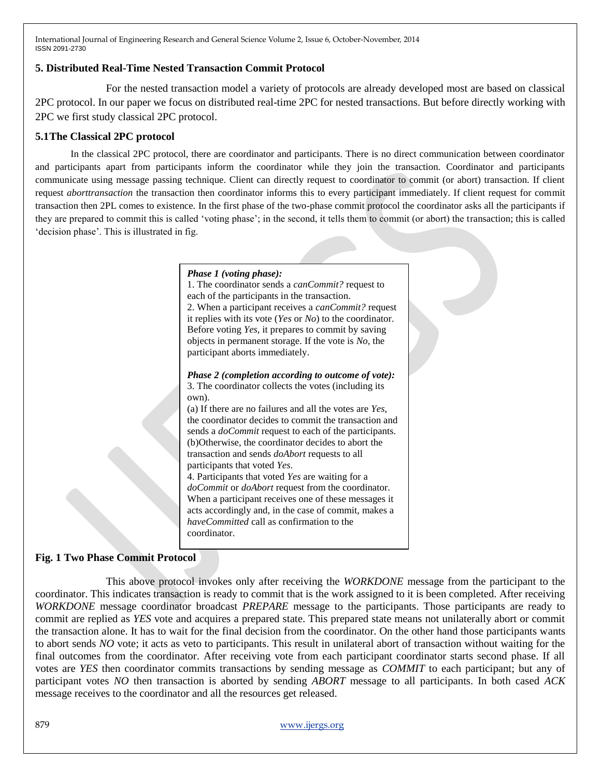### **5. Distributed Real-Time Nested Transaction Commit Protocol**

For the nested transaction model a variety of protocols are already developed most are based on classical 2PC protocol. In our paper we focus on distributed real-time 2PC for nested transactions. But before directly working with 2PC we first study classical 2PC protocol.

# **5.1The Classical 2PC protocol**

In the classical 2PC protocol, there are coordinator and participants. There is no direct communication between coordinator and participants apart from participants inform the coordinator while they join the transaction. Coordinator and participants communicate using message passing technique. Client can directly request to coordinator to commit (or abort) transaction. If client request *aborttransaction* the transaction then coordinator informs this to every participant immediately. If client request for commit transaction then 2PL comes to existence. In the first phase of the two-phase commit protocol the coordinator asks all the participants if they are prepared to commit this is called "voting phase"; in the second, it tells them to commit (or abort) the transaction; this is called 'decision phase'. This is illustrated in fig.

## *Phase 1 (voting phase):* 1. The coordinator sends a *canCommit?* request to each of the participants in the transaction. 2. When a participant receives a *canCommit?* request it replies with its vote (*Yes* or *No*) to the coordinator. Before voting *Yes*, it prepares to commit by saving objects in permanent storage. If the vote is *No,* the participant aborts immediately. *Phase 2 (completion according to outcome of vote):* 3. The coordinator collects the votes (including its own). (a) If there are no failures and all the votes are *Yes*, the coordinator decides to commit the transaction and sends a *doCommit* request to each of the participants. (b)Otherwise, the coordinator decides to abort the transaction and sends *doAbort* requests to all participants that voted *Yes*. 4. Participants that voted *Yes* are waiting for a *doCommit* or *doAbort* request from the coordinator. When a participant receives one of these messages it acts accordingly and, in the case of commit, makes a *haveCommitted* call as confirmation to the coordinator.

# **Fig. 1 Two Phase Commit Protocol**

This above protocol invokes only after receiving the *WORKDONE* message from the participant to the coordinator. This indicates transaction is ready to commit that is the work assigned to it is been completed. After receiving *WORKDONE* message coordinator broadcast *PREPARE* message to the participants. Those participants are ready to commit are replied as *YES* vote and acquires a prepared state. This prepared state means not unilaterally abort or commit the transaction alone. It has to wait for the final decision from the coordinator. On the other hand those participants wants to abort sends *NO* vote; it acts as veto to participants. This result in unilateral abort of transaction without waiting for the final outcomes from the coordinator. After receiving vote from each participant coordinator starts second phase. If all votes are *YES* then coordinator commits transactions by sending message as *COMMIT* to each participant; but any of participant votes *NO* then transaction is aborted by sending *ABORT* message to all participants. In both cased *ACK* message receives to the coordinator and all the resources get released.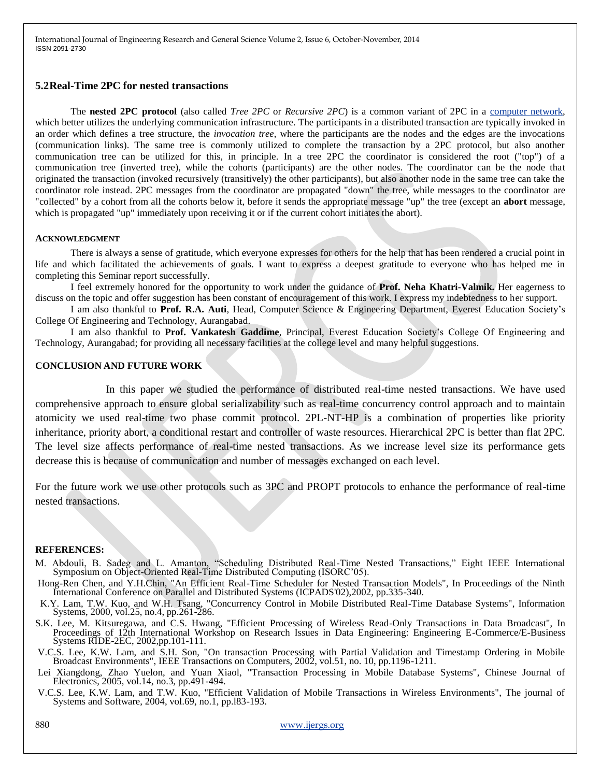### **5.2Real-Time 2PC for nested transactions**

The **nested 2PC protocol** (also called *Tree 2PC* or *Recursive 2PC*) is a common variant of 2PC in a [computer network,](http://en.wikipedia.org/wiki/Computer_network) which better utilizes the underlying communication infrastructure. The participants in a distributed transaction are typically invoked in an order which defines a tree structure, the *invocation tree*, where the participants are the nodes and the edges are the invocations (communication links). The same tree is commonly utilized to complete the transaction by a 2PC protocol, but also another communication tree can be utilized for this, in principle. In a tree 2PC the coordinator is considered the root ("top") of a communication tree (inverted tree), while the cohorts (participants) are the other nodes. The coordinator can be the node that originated the transaction (invoked recursively (transitively) the other participants), but also another node in the same tree can take the coordinator role instead. 2PC messages from the coordinator are propagated "down" the tree, while messages to the coordinator are "collected" by a cohort from all the cohorts below it, before it sends the appropriate message "up" the tree (except an **abort** message, which is propagated "up" immediately upon receiving it or if the current cohort initiates the abort).

#### **ACKNOWLEDGMENT**

There is always a sense of gratitude, which everyone expresses for others for the help that has been rendered a crucial point in life and which facilitated the achievements of goals. I want to express a deepest gratitude to everyone who has helped me in completing this Seminar report successfully.

I feel extremely honored for the opportunity to work under the guidance of **Prof. Neha Khatri-Valmik.** Her eagerness to discuss on the topic and offer suggestion has been constant of encouragement of this work. I express my indebtedness to her support.

I am also thankful to **Prof. R.A. Auti**, Head, Computer Science & Engineering Department, Everest Education Society"s College Of Engineering and Technology, Aurangabad.

I am also thankful to **Prof. Vankatesh Gaddime**, Principal, Everest Education Society"s College Of Engineering and Technology, Aurangabad; for providing all necessary facilities at the college level and many helpful suggestions.

### **CONCLUSION AND FUTURE WORK**

In this paper we studied the performance of distributed real-time nested transactions. We have used comprehensive approach to ensure global serializability such as real-time concurrency control approach and to maintain atomicity we used real-time two phase commit protocol. 2PL-NT-HP is a combination of properties like priority inheritance, priority abort, a conditional restart and controller of waste resources. Hierarchical 2PC is better than flat 2PC. The level size affects performance of real-time nested transactions. As we increase level size its performance gets decrease this is because of communication and number of messages exchanged on each level.

For the future work we use other protocols such as 3PC and PROPT protocols to enhance the performance of real-time nested transactions.

#### **REFERENCES:**

- M. Abdouli, B. Sadeg and L. Amanton, "Scheduling Distributed Real-Time Nested Transactions," Eight IEEE International Symposium on Object-Oriented Real-Time Distributed Computing (ISORC"05).
- Hong-Ren Chen, and Y.H.Chin, "An Efficient Real-Time Scheduler for Nested Transaction Models", In Proceedings of the Ninth International Conference on Parallel and Distributed Systems (ICPADS'02),2002, pp.335-340.
- K.Y. Lam, T.W. Kuo, and W.H. Tsang, "Concurrency Control in Mobile Distributed Real-Time Database Systems", Information Systems, 2000, vol.25, no.4, pp.261-286.
- S.K. Lee, M. Kitsuregawa, and C.S. Hwang, "Efficient Processing of Wireless Read-Only Transactions in Data Broadcast", In Proceedings of 12th International Workshop on Research Issues in Data Engineering: Engineering E-Commerce/E-Business Systems RIDE-2EC, 2002,pp.101-111.
- V.C.S. Lee, K.W. Lam, and S.H. Son, "On transaction Processing with Partial Validation and Timestamp Ordering in Mobile Broadcast Environments", IEEE Transactions on Computers, 2002, vol.51, no. 10, pp.1196-1211.
- Lei Xiangdong, Zhao Yuelon, and Yuan Xiaol, "Transaction Processing in Mobile Database Systems", Chinese Journal of Electronics, 2005, vol.14, no.3, pp.491-494.
- V.C.S. Lee, K.W. Lam, and T.W. Kuo, "Efficient Validation of Mobile Transactions in Wireless Environments", The journal of Systems and Software, 2004, vol.69, no.1, pp.l83-193.